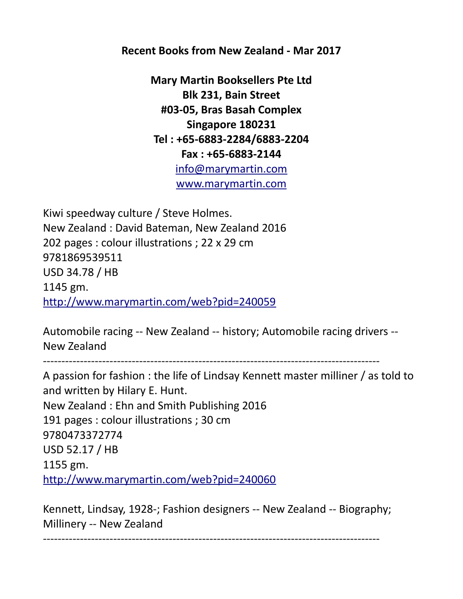**Recent Books from New Zealand - Mar 2017**

**Mary Martin Booksellers Pte Ltd Blk 231, Bain Street #03-05, Bras Basah Complex Singapore 180231 Tel : +65-6883-2284/6883-2204 Fax : +65-6883-2144** [info@marymartin.com](mailto:info@marymartin.com) [www.marymartin.com](http://www.marymartin.com/)

Kiwi speedway culture / Steve Holmes. New Zealand : David Bateman, New Zealand 2016 202 pages : colour illustrations ; 22 x 29 cm 9781869539511 USD 34.78 / HB 1145 gm. <http://www.marymartin.com/web?pid=240059>

Automobile racing -- New Zealand -- history; Automobile racing drivers -- New Zealand

-------------------------------------------------------------------------------------------

A passion for fashion : the life of Lindsay Kennett master milliner / as told to and written by Hilary E. Hunt. New Zealand : Ehn and Smith Publishing 2016 191 pages : colour illustrations ; 30 cm 9780473372774 USD 52.17 / HB 1155 gm. <http://www.marymartin.com/web?pid=240060>

Kennett, Lindsay, 1928-; Fashion designers -- New Zealand -- Biography; Millinery -- New Zealand

-------------------------------------------------------------------------------------------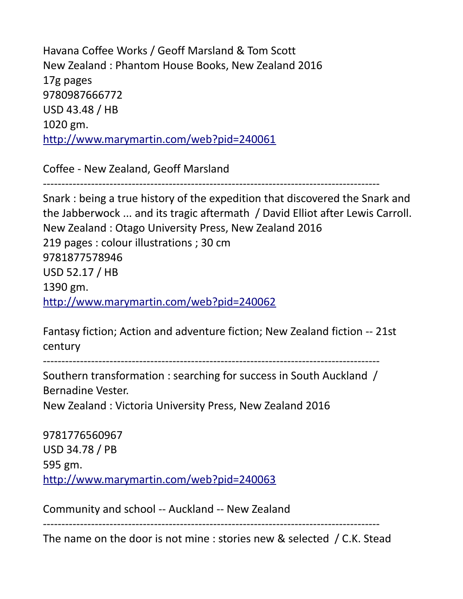Havana Coffee Works / Geoff Marsland & Tom Scott New Zealand : Phantom House Books, New Zealand 2016 17g pages 9780987666772 USD 43.48 / HB 1020 gm. <http://www.marymartin.com/web?pid=240061>

Coffee - New Zealand, Geoff Marsland

-------------------------------------------------------------------------------------------

Snark : being a true history of the expedition that discovered the Snark and the Jabberwock ... and its tragic aftermath / David Elliot after Lewis Carroll. New Zealand : Otago University Press, New Zealand 2016 219 pages : colour illustrations ; 30 cm 9781877578946 USD 52.17 / HB 1390 gm. <http://www.marymartin.com/web?pid=240062>

Fantasy fiction; Action and adventure fiction; New Zealand fiction -- 21st century

-------------------------------------------------------------------------------------------

Southern transformation : searching for success in South Auckland / Bernadine Vester.

New Zealand : Victoria University Press, New Zealand 2016

9781776560967 USD 34.78 / PB 595 gm. <http://www.marymartin.com/web?pid=240063>

Community and school -- Auckland -- New Zealand

The name on the door is not mine : stories new & selected / C.K. Stead

-------------------------------------------------------------------------------------------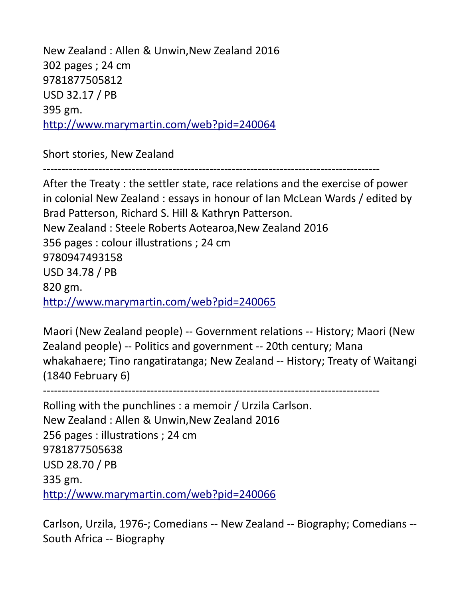New Zealand : Allen & Unwin,New Zealand 2016 302 pages ; 24 cm 9781877505812 USD 32.17 / PB 395 gm. <http://www.marymartin.com/web?pid=240064>

Short stories, New Zealand

-------------------------------------------------------------------------------------------

After the Treaty : the settler state, race relations and the exercise of power in colonial New Zealand : essays in honour of Ian McLean Wards / edited by Brad Patterson, Richard S. Hill & Kathryn Patterson. New Zealand : Steele Roberts Aotearoa,New Zealand 2016 356 pages : colour illustrations ; 24 cm 9780947493158 USD 34.78 / PB 820 gm. <http://www.marymartin.com/web?pid=240065>

Maori (New Zealand people) -- Government relations -- History; Maori (New Zealand people) -- Politics and government -- 20th century; Mana whakahaere; Tino rangatiratanga; New Zealand -- History; Treaty of Waitangi (1840 February 6)

-------------------------------------------------------------------------------------------

Rolling with the punchlines : a memoir / Urzila Carlson. New Zealand : Allen & Unwin,New Zealand 2016 256 pages : illustrations ; 24 cm 9781877505638 USD 28.70 / PB 335 gm. <http://www.marymartin.com/web?pid=240066>

Carlson, Urzila, 1976-; Comedians -- New Zealand -- Biography; Comedians -- South Africa -- Biography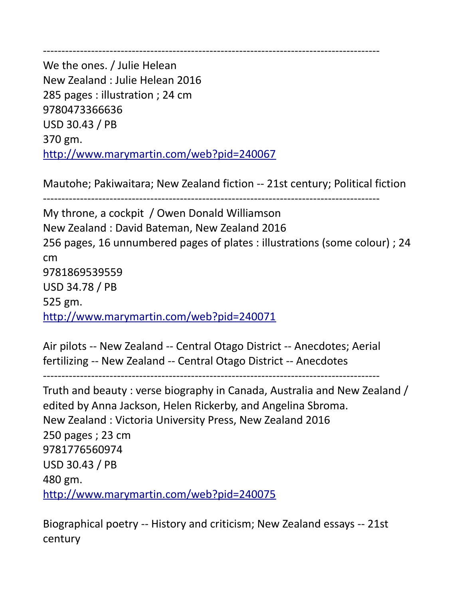-------------------------------------------------------------------------------------------

We the ones. / Julie Helean New Zealand : Julie Helean 2016 285 pages : illustration ; 24 cm 9780473366636 USD 30.43 / PB 370 gm. <http://www.marymartin.com/web?pid=240067>

Mautohe; Pakiwaitara; New Zealand fiction -- 21st century; Political fiction

-------------------------------------------------------------------------------------------

My throne, a cockpit / Owen Donald Williamson New Zealand : David Bateman, New Zealand 2016 256 pages, 16 unnumbered pages of plates : illustrations (some colour) ; 24 cm 9781869539559 USD 34.78 / PB 525 gm. <http://www.marymartin.com/web?pid=240071>

Air pilots -- New Zealand -- Central Otago District -- Anecdotes; Aerial fertilizing -- New Zealand -- Central Otago District -- Anecdotes

```
-------------------------------------------------------------------------------------------
```
Truth and beauty : verse biography in Canada, Australia and New Zealand / edited by Anna Jackson, Helen Rickerby, and Angelina Sbroma. New Zealand : Victoria University Press, New Zealand 2016 250 pages ; 23 cm 9781776560974 USD 30.43 / PB 480 gm. <http://www.marymartin.com/web?pid=240075>

Biographical poetry -- History and criticism; New Zealand essays -- 21st century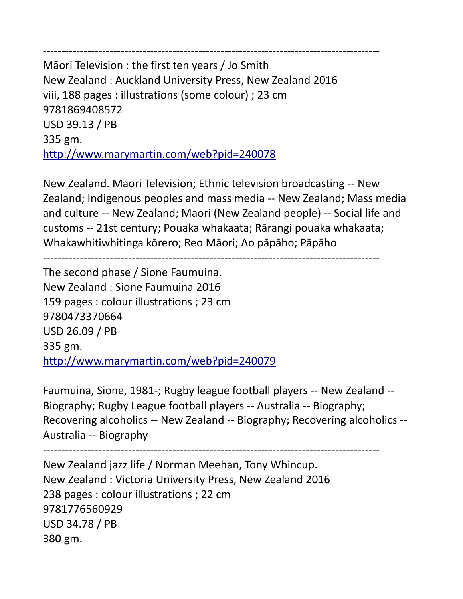------------------------------------------------------------------------------------------- Māori Television : the first ten years / Jo Smith New Zealand : Auckland University Press, New Zealand 2016 viii, 188 pages : illustrations (some colour) ; 23 cm 9781869408572 USD 39.13 / PB 335 gm. <http://www.marymartin.com/web?pid=240078>

New Zealand. Māori Television; Ethnic television broadcasting -- New Zealand; Indigenous peoples and mass media -- New Zealand; Mass media and culture -- New Zealand; Maori (New Zealand people) -- Social life and customs -- 21st century; Pouaka whakaata; Rārangi pouaka whakaata; Whakawhitiwhitinga kōrero; Reo Māori; Ao pāpāho; Pāpāho

-------------------------------------------------------------------------------------------

The second phase / Sione Faumuina. New Zealand : Sione Faumuina 2016 159 pages : colour illustrations ; 23 cm 9780473370664 USD 26.09 / PB 335 gm. <http://www.marymartin.com/web?pid=240079>

Faumuina, Sione, 1981-; Rugby league football players -- New Zealand -- Biography; Rugby League football players -- Australia -- Biography; Recovering alcoholics -- New Zealand -- Biography; Recovering alcoholics -- Australia -- Biography

-------------------------------------------------------------------------------------------

New Zealand jazz life / Norman Meehan, Tony Whincup. New Zealand : Victoria University Press, New Zealand 2016 238 pages : colour illustrations ; 22 cm 9781776560929 USD 34.78 / PB 380 gm.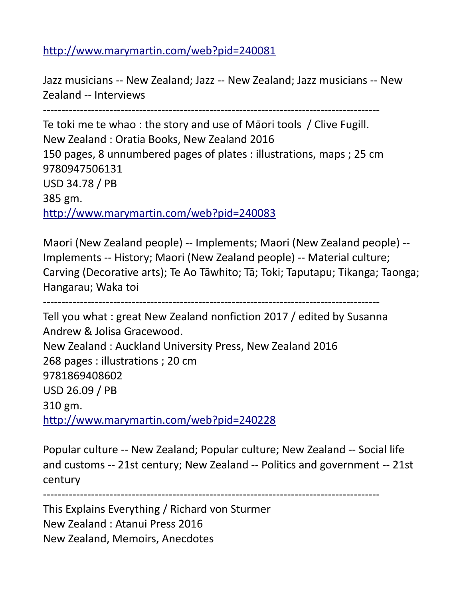## <http://www.marymartin.com/web?pid=240081>

Jazz musicians -- New Zealand; Jazz -- New Zealand; Jazz musicians -- New Zealand -- Interviews

-------------------------------------------------------------------------------------------

Te toki me te whao : the story and use of Māori tools / Clive Fugill. New Zealand : Oratia Books, New Zealand 2016 150 pages, 8 unnumbered pages of plates : illustrations, maps ; 25 cm 9780947506131 USD 34.78 / PB 385 gm. <http://www.marymartin.com/web?pid=240083>

Maori (New Zealand people) -- Implements; Maori (New Zealand people) -- Implements -- History; Maori (New Zealand people) -- Material culture; Carving (Decorative arts); Te Ao Tāwhito; Tā; Toki; Taputapu; Tikanga; Taonga; Hangarau; Waka toi

-------------------------------------------------------------------------------------------

Tell you what : great New Zealand nonfiction 2017 / edited by Susanna Andrew & Jolisa Gracewood. New Zealand : Auckland University Press, New Zealand 2016 268 pages : illustrations ; 20 cm 9781869408602 USD 26.09 / PB 310 gm. <http://www.marymartin.com/web?pid=240228>

Popular culture -- New Zealand; Popular culture; New Zealand -- Social life and customs -- 21st century; New Zealand -- Politics and government -- 21st century

-------------------------------------------------------------------------------------------

This Explains Everything / Richard von Sturmer New Zealand : Atanui Press 2016 New Zealand, Memoirs, Anecdotes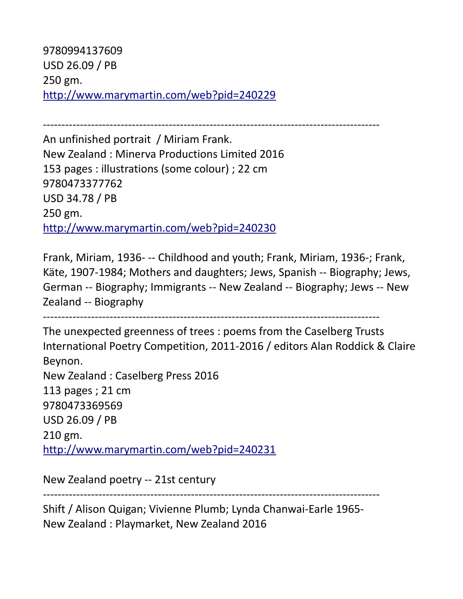9780994137609 USD 26.09 / PB 250 gm. <http://www.marymartin.com/web?pid=240229>

------------------------------------------------------------------------------------------- An unfinished portrait / Miriam Frank. New Zealand : Minerva Productions Limited 2016 153 pages : illustrations (some colour) ; 22 cm 9780473377762 USD 34.78 / PB 250 gm. <http://www.marymartin.com/web?pid=240230>

Frank, Miriam, 1936- -- Childhood and youth; Frank, Miriam, 1936-; Frank, Käte, 1907-1984; Mothers and daughters; Jews, Spanish -- Biography; Jews, German -- Biography; Immigrants -- New Zealand -- Biography; Jews -- New Zealand -- Biography

-------------------------------------------------------------------------------------------

The unexpected greenness of trees : poems from the Caselberg Trusts International Poetry Competition, 2011-2016 / editors Alan Roddick & Claire Beynon. New Zealand : Caselberg Press 2016 113 pages ; 21 cm 9780473369569 USD 26.09 / PB 210 gm. <http://www.marymartin.com/web?pid=240231>

New Zealand poetry -- 21st century

-------------------------------------------------------------------------------------------

Shift / Alison Quigan; Vivienne Plumb; Lynda Chanwai-Earle 1965- New Zealand : Playmarket, New Zealand 2016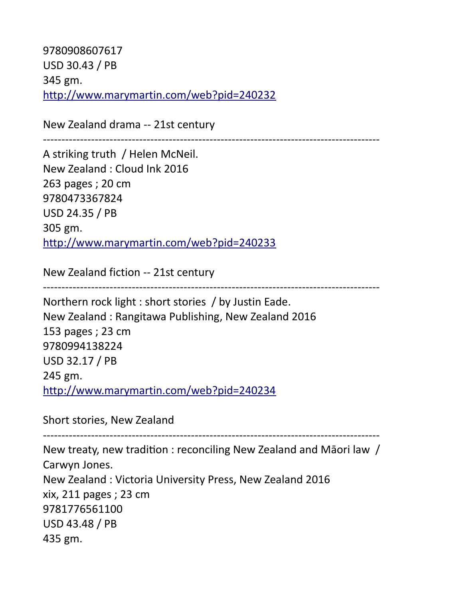9780908607617 USD 30.43 / PB 345 gm. <http://www.marymartin.com/web?pid=240232>

New Zealand drama -- 21st century

-------------------------------------------------------------------------------------------

A striking truth / Helen McNeil. New Zealand : Cloud Ink 2016 263 pages ; 20 cm 9780473367824 USD 24.35 / PB 305 gm. <http://www.marymartin.com/web?pid=240233>

New Zealand fiction -- 21st century

-------------------------------------------------------------------------------------------

Northern rock light : short stories / by Justin Eade. New Zealand : Rangitawa Publishing, New Zealand 2016 153 pages ; 23 cm 9780994138224 USD 32.17 / PB 245 gm. <http://www.marymartin.com/web?pid=240234>

Short stories, New Zealand

-------------------------------------------------------------------------------------------

New treaty, new tradition : reconciling New Zealand and Māori law / Carwyn Jones. New Zealand : Victoria University Press, New Zealand 2016 xix, 211 pages ; 23 cm 9781776561100 USD 43.48 / PB 435 gm.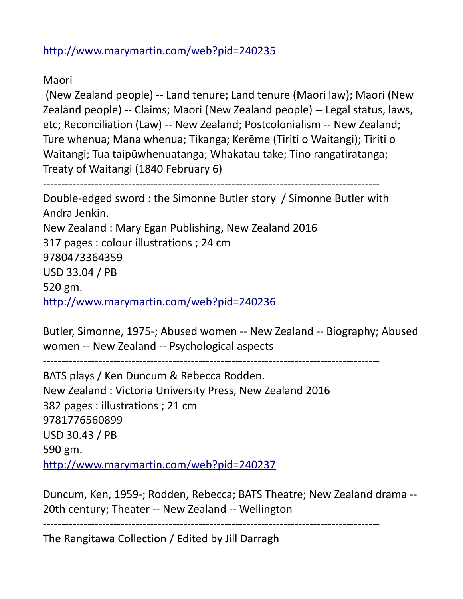<http://www.marymartin.com/web?pid=240235>

Maori

 (New Zealand people) -- Land tenure; Land tenure (Maori law); Maori (New Zealand people) -- Claims; Maori (New Zealand people) -- Legal status, laws, etc; Reconciliation (Law) -- New Zealand; Postcolonialism -- New Zealand; Ture whenua; Mana whenua; Tikanga; Kerēme (Tiriti o Waitangi); Tiriti o Waitangi; Tua taipūwhenuatanga; Whakatau take; Tino rangatiratanga; Treaty of Waitangi (1840 February 6)

```
-------------------------------------------------------------------------------------------
Double-edged sword : the Simonne Butler story / Simonne Butler with
```
Andra Jenkin. New Zealand : Mary Egan Publishing, New Zealand 2016 317 pages : colour illustrations ; 24 cm 9780473364359 USD 33.04 / PB 520 gm. <http://www.marymartin.com/web?pid=240236>

Butler, Simonne, 1975-; Abused women -- New Zealand -- Biography; Abused women -- New Zealand -- Psychological aspects

-------------------------------------------------------------------------------------------

BATS plays / Ken Duncum & Rebecca Rodden. New Zealand : Victoria University Press, New Zealand 2016 382 pages : illustrations ; 21 cm 9781776560899 USD 30.43 / PB 590 gm. <http://www.marymartin.com/web?pid=240237>

Duncum, Ken, 1959-; Rodden, Rebecca; BATS Theatre; New Zealand drama -- 20th century; Theater -- New Zealand -- Wellington

-------------------------------------------------------------------------------------------

The Rangitawa Collection / Edited by Jill Darragh